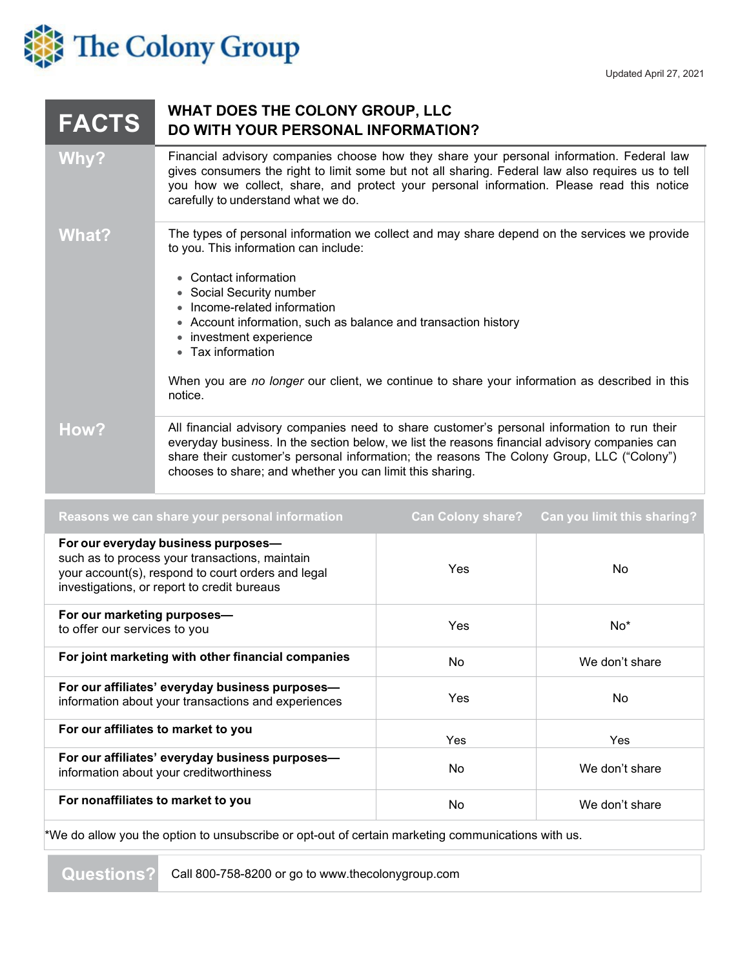

## **FACTS WHAT DOES THE COLONY GROUP, LLC DO WITH YOUR PERSONAL INFORMATION?**

- **Why?** Financial advisory companies choose how they share your personal information. Federal law gives consumers the right to limit some but not all sharing. Federal law also requires us to tell you how we collect, share, and protect your personal information. Please read this notice carefully to understand what we do.
- **What?** The types of personal information we collect and may share depend on the services we provide to you. This information can include:
	- Contact information
	- Social Security number
	- Income-related information
	- Account information, such as balance and transaction history
	- investment experience
	- Tax information

When you are *no longer* our client, we continue to share your information as described in this notice.

**How?** All financial advisory companies need to share customer's personal information to run their everyday business. In the section below, we list the reasons financial advisory companies can share their customer's personal information; the reasons The Colony Group, LLC ("Colony") chooses to share; and whether you can limit this sharing.

| Reasons we can share your personal information                                                                                                                                             | <b>Can Colony share?</b> | <b>Can you limit this sharing?</b> |
|--------------------------------------------------------------------------------------------------------------------------------------------------------------------------------------------|--------------------------|------------------------------------|
| For our everyday business purposes-<br>such as to process your transactions, maintain<br>your account(s), respond to court orders and legal<br>investigations, or report to credit bureaus | <b>Yes</b>               | No.                                |
| For our marketing purposes-<br>to offer our services to you                                                                                                                                | Yes                      | $No*$                              |
| For joint marketing with other financial companies                                                                                                                                         | No                       | We don't share                     |
| For our affiliates' everyday business purposes-<br>information about your transactions and experiences                                                                                     | Yes                      | No.                                |
| For our affiliates to market to you                                                                                                                                                        | Yes                      | Yes                                |
| For our affiliates' everyday business purposes-<br>information about your creditworthiness                                                                                                 | No                       | We don't share                     |
| For nonaffiliates to market to you                                                                                                                                                         | No                       | We don't share                     |

\*We do allow you the option to unsubscribe or opt-out of certain marketing communications with us.

**Questions?** Call 800-758-8200 or go to [www.thecolonygroup.com](http://www.thecolonygroup.com/)